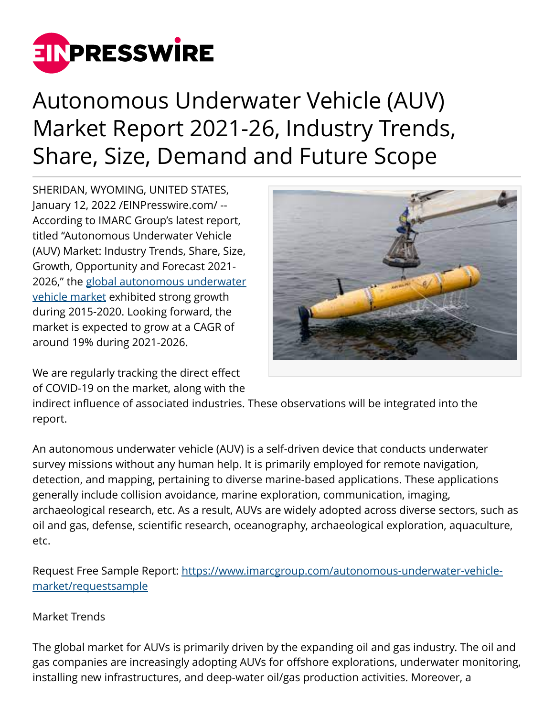

## Autonomous Underwater Vehicle (AUV) Market Report 2021-26, Industry Trends, Share, Size, Demand and Future Scope

SHERIDAN, WYOMING, UNITED STATES, January 12, 2022 /[EINPresswire.com](http://www.einpresswire.com)/ -- According to IMARC Group's latest report, titled "Autonomous Underwater Vehicle (AUV) Market: Industry Trends, Share, Size, Growth, Opportunity and Forecast 2021- 2026," the [global autonomous underwater](https://bit.ly/3dv7lEW) [vehicle market](https://bit.ly/3dv7lEW) exhibited strong growth during 2015-2020. Looking forward, the market is expected to grow at a CAGR of around 19% during 2021-2026.



We are regularly tracking the direct effect of COVID-19 on the market, along with the

indirect influence of associated industries. These observations will be integrated into the report.

An autonomous underwater vehicle (AUV) is a self-driven device that conducts underwater survey missions without any human help. It is primarily employed for remote navigation, detection, and mapping, pertaining to diverse marine-based applications. These applications generally include collision avoidance, marine exploration, communication, imaging, archaeological research, etc. As a result, AUVs are widely adopted across diverse sectors, such as oil and gas, defense, scientific research, oceanography, archaeological exploration, aquaculture, etc.

Request Free Sample Report: [https://www.imarcgroup.com/autonomous-underwater-vehicle](https://www.imarcgroup.com/autonomous-underwater-vehicle-market/requestsample)[market/requestsample](https://www.imarcgroup.com/autonomous-underwater-vehicle-market/requestsample)

## Market Trends

The global market for AUVs is primarily driven by the expanding oil and gas industry. The oil and gas companies are increasingly adopting AUVs for offshore explorations, underwater monitoring, installing new infrastructures, and deep-water oil/gas production activities. Moreover, a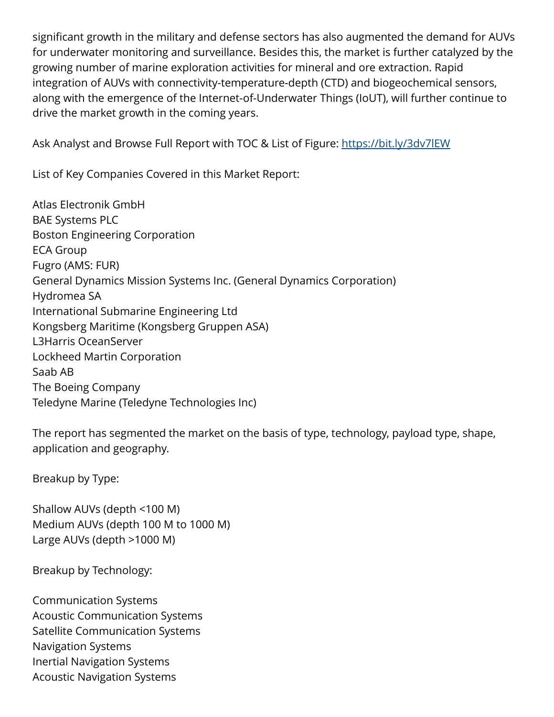significant growth in the military and defense sectors has also augmented the demand for AUVs for underwater monitoring and surveillance. Besides this, the market is further catalyzed by the growing number of marine exploration activities for mineral and ore extraction. Rapid integration of AUVs with connectivity-temperature-depth (CTD) and biogeochemical sensors, along with the emergence of the Internet-of-Underwater Things (IoUT), will further continue to drive the market growth in the coming years.

Ask Analyst and Browse Full Report with TOC & List of Figure: <https://bit.ly/3dv7lEW>

List of Key Companies Covered in this Market Report:

Atlas Electronik GmbH BAE Systems PLC Boston Engineering Corporation ECA Group Fugro (AMS: FUR) General Dynamics Mission Systems Inc. (General Dynamics Corporation) Hydromea SA International Submarine Engineering Ltd Kongsberg Maritime (Kongsberg Gruppen ASA) L3Harris OceanServer Lockheed Martin Corporation Saab AB The Boeing Company Teledyne Marine (Teledyne Technologies Inc)

The report has segmented the market on the basis of type, technology, payload type, shape, application and geography.

Breakup by Type:

Shallow AUVs (depth <100 M) Medium AUVs (depth 100 M to 1000 M) Large AUVs (depth >1000 M)

Breakup by Technology:

Communication Systems Acoustic Communication Systems Satellite Communication Systems Navigation Systems Inertial Navigation Systems Acoustic Navigation Systems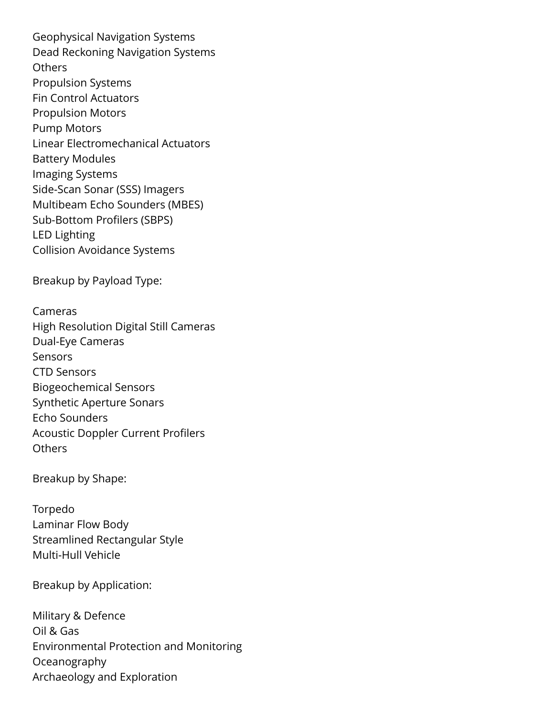Geophysical Navigation Systems Dead Reckoning Navigation Systems **Others** Propulsion Systems Fin Control Actuators Propulsion Motors Pump Motors Linear Electromechanical Actuators Battery Modules Imaging Systems Side-Scan Sonar (SSS) Imagers Multibeam Echo Sounders (MBES) Sub-Bottom Profilers (SBPS) LED Lighting Collision Avoidance Systems

Breakup by Payload Type:

Cameras High Resolution Digital Still Cameras Dual-Eye Cameras **Sensors** CTD Sensors Biogeochemical Sensors Synthetic Aperture Sonars Echo Sounders Acoustic Doppler Current Profilers **Others** 

Breakup by Shape:

Torpedo Laminar Flow Body Streamlined Rectangular Style Multi-Hull Vehicle

Breakup by Application:

Military & Defence Oil & Gas Environmental Protection and Monitoring Oceanography Archaeology and Exploration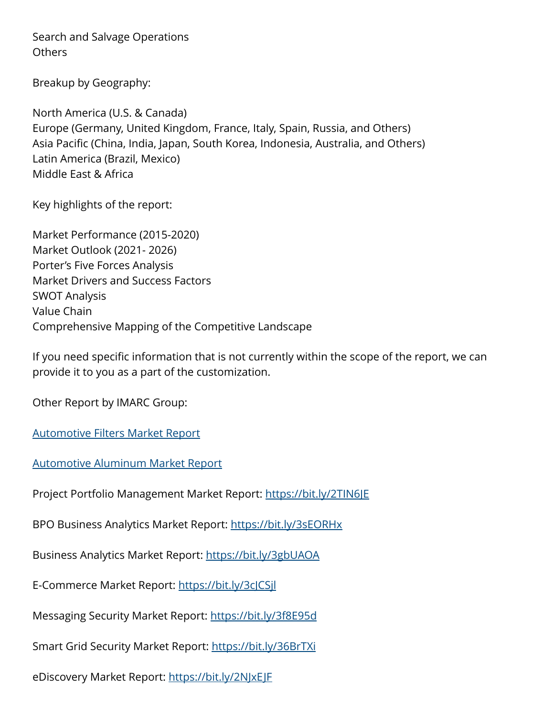Search and Salvage Operations **Others** 

Breakup by Geography:

North America (U.S. & Canada) Europe (Germany, United Kingdom, France, Italy, Spain, Russia, and Others) Asia Pacific (China, India, Japan, South Korea, Indonesia, Australia, and Others) Latin America (Brazil, Mexico) Middle East & Africa

Key highlights of the report:

Market Performance (2015-2020) Market Outlook (2021- 2026) Porter's Five Forces Analysis Market Drivers and Success Factors SWOT Analysis Value Chain Comprehensive Mapping of the Competitive Landscape

If you need specific information that is not currently within the scope of the report, we can provide it to you as a part of the customization.

Other Report by IMARC Group:

[Automotive Filters Market Report](https://bit.ly/2UEvpLZ)

[Automotive Aluminum Market Report](https://bit.ly/2UEvpLZ)

Project Portfolio Management Market Report:<https://bit.ly/2TIN6JE>

BPO Business Analytics Market Report:<https://bit.ly/3sEORHx>

Business Analytics Market Report: <https://bit.ly/3gbUAOA>

E-Commerce Market Report:<https://bit.ly/3cJCSjl>

Messaging Security Market Report: <https://bit.ly/3f8E95d>

Smart Grid Security Market Report:<https://bit.ly/36BrTXi>

eDiscovery Market Report:<https://bit.ly/2NJxEJF>